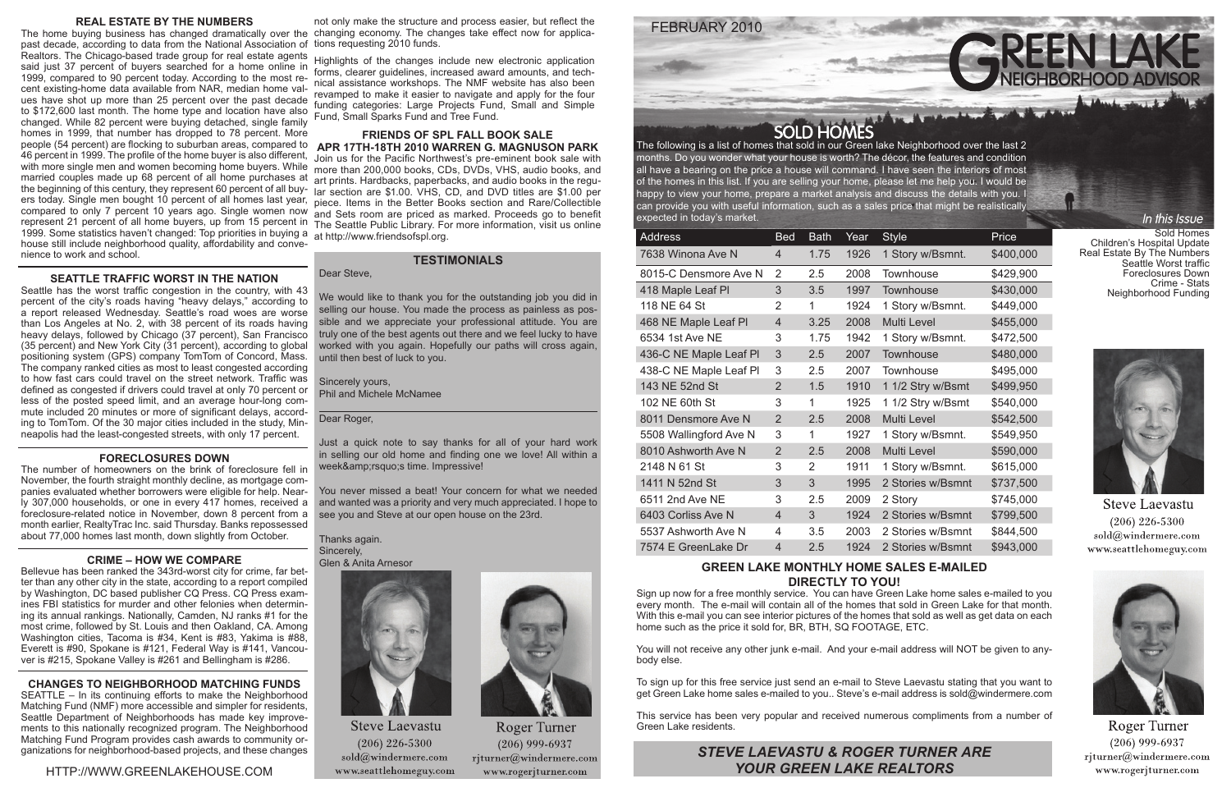

Sold Homes Children's Hospital Update Real Estate By The Numbers Seattle Worst traffic Foreclosures Down Crime - Stats Neighborhood Funding

In this Issue



**Steve Laevastu**  $(206)$  226-5300 sold@windermere.com www.seattlehomeguy.com



**Roger Turner**  $(206)$  999-6937  $r$ jturner@windermere.com www.rogerjturner.com

The following is a list of homes that sold in our Green lake Neighborhood over the last 2 months. Do you wonder what your house is worth? The décor, the features and condition all have a bearing on the price a house will command. I have seen the interiors of most of the homes in this list. If you are selling your home, please let me help you. I would be happy to view your home, prepare a market analysis and discuss the details with you. I can provide you with useful information, such as a sales price that might be realistically expected in today's market.

| <b>Address</b>         | <b>Bed</b>     | <b>Bath</b>    | Year | <b>Style</b>       | Price     |
|------------------------|----------------|----------------|------|--------------------|-----------|
| 7638 Winona Ave N      | 4              | 1.75           | 1926 | 1 Story w/Bsmnt.   | \$400,000 |
| 8015-C Densmore Ave N  | 2              | 2.5            | 2008 | Townhouse          | \$429,900 |
| 418 Maple Leaf PI      | 3              | 3.5            | 1997 | Townhouse          | \$430,000 |
| 118 NE 64 St           | $\overline{2}$ | 1              | 1924 | 1 Story w/Bsmnt.   | \$449,000 |
| 468 NE Maple Leaf Pl   | $\overline{4}$ | 3.25           | 2008 | <b>Multi Level</b> | \$455,000 |
| 6534 1st Ave NE        | 3              | 1.75           | 1942 | 1 Story w/Bsmnt.   | \$472,500 |
| 436-C NE Maple Leaf PI | 3              | 2.5            | 2007 | Townhouse          | \$480,000 |
| 438-C NE Maple Leaf PI | 3              | 2.5            | 2007 | <b>Townhouse</b>   | \$495,000 |
| 143 NE 52nd St         | $\overline{2}$ | 1.5            | 1910 | 1 1/2 Stry w/Bsmt  | \$499,950 |
| 102 NE 60th St         | 3              | 1              | 1925 | 1 1/2 Stry w/Bsmt  | \$540,000 |
| 8011 Densmore Ave N    | $\overline{2}$ | 2.5            | 2008 | <b>Multi Level</b> | \$542,500 |
| 5508 Wallingford Ave N | 3              | 1              | 1927 | 1 Story w/Bsmnt.   | \$549,950 |
| 8010 Ashworth Ave N    | $\overline{2}$ | 2.5            | 2008 | <b>Multi Level</b> | \$590,000 |
| 2148 N 61 St           | 3              | $\overline{2}$ | 1911 | 1 Story w/Bsmnt.   | \$615,000 |
| 1411 N 52nd St         | 3              | 3              | 1995 | 2 Stories w/Bsmnt  | \$737,500 |
| 6511 2nd Ave NE        | 3              | 2.5            | 2009 | 2 Story            | \$745,000 |
| 6403 Corliss Ave N     | $\overline{4}$ | 3              | 1924 | 2 Stories w/Bsmnt  | \$799,500 |
| 5537 Ashworth Ave N    | 4              | 3.5            | 2003 | 2 Stories w/Bsmnt  | \$844,500 |
| 7574 E GreenLake Dr    | 4              | 2.5            | 1924 | 2 Stories w/Bsmnt  | \$943,000 |

## **GREEN LAKE MONTHLY HOME SALES E-MAILED DIRECTLY TO YOU!**

Sign up now for a free monthly service. You can have Green Lake home sales e-mailed to you every month. The e-mail will contain all of the homes that sold in Green Lake for that month. With this e-mail you can see interior pictures of the homes that sold as well as get data on each home such as the price it sold for, BR, BTH, SQ FOOTAGE, ETC.

the beginning of this century, they represent 60 percent of all buy- lar section are \$1.00. VHS, CD, and DVD titles are \$1.00 per The home buying business has changed dramatically over the changing economy. The changes take effect now for applicapast decade, according to data from the National Association of tions requesting 2010 funds. Realtors. The Chicago-based trade group for real estate agents said just 37 percent of buyers searched for a home online in 1999, compared to 90 percent today. According to the most recent existing-home data available from NAR, median home values have shot up more than 25 percent over the past decade to \$172,600 last month. The home type and location have also changed. While 82 percent were buying detached, single family homes in 1999, that number has dropped to 78 percent. More people (54 percent) are flocking to suburban areas, compared to 46 percent in 1999. The profile of the home buyer is also different, with more single men and women becoming home buyers. While married couples made up 68 percent of all home purchases at ers today. Single men bought 10 percent of all homes last year, compared to only 7 percent 10 years ago. Single women now represent 21 percent of all home buyers, up from 15 percent in 1999. Some statistics haven't changed: Top priorities in buying a house still include neighborhood quality, affordability and convenience to work and school.

> You will not receive any other junk e-mail. And your e-mail address will NOT be given to anybody else.

> To sign up for this free service just send an e-mail to Steve Laevastu stating that you want to get Green Lake home sales e-mailed to you.. Steve's e-mail address is sold@windermere.com

> This service has been very popular and received numerous compliments from a number of Green Lake residents.

#### **FRIENDS OF SPL FALL BOOK SALE APR 17TH-18TH 2010 WARREN G. MAGNUSON PARK**

Join us for the Pacific Northwest's pre-eminent book sale with more than 200,000 books, CDs, DVDs, VHS, audio books, and art prints. Hardbacks, paperbacks, and audio books in the regupiece. Items in the Better Books section and Rare/Collectible and Sets room are priced as marked. Proceeds go to benefit The Seattle Public Library. For more information, visit us online at http://www.friendsofspl.org.

#### **REAL ESTATE BY THE NUMBERS**

We would like to thank you for the outstanding job you did in selling our house. You made the process as painless as possible and we appreciate your professional attitude. You are truly one of the best agents out there and we feel lucky to have worked with you again. Hopefully our paths will cross again, until then best of luck to you.

Just a quick note to say thanks for all of your hard work in selling our old home and finding one we love! All within a week&amp:rsquo:s time. Impressive!

#### **SEATTLE TRAFFIC WORST IN THE NATION**

Seattle has the worst traffic congestion in the country, with 43 percent of the city's roads having "heavy delays," according to a report released Wednesday. Seattle's road woes are worse than Los Angeles at No. 2, with 38 percent of its roads having heavy delays, followed by Chicago (37 percent), San Francisco (35 percent) and New York City (31 percent), according to global positioning system (GPS) company TomTom of Concord, Mass. The company ranked cities as most to least congested according to how fast cars could travel on the street network. Traffic was defined as congested if drivers could travel at only 70 percent or less of the posted speed limit, and an average hour-long commute included 20 minutes or more of significant delays, according to TomTom. Of the 30 major cities included in the study, Minneapolis had the least-congested streets, with only 17 percent.

#### **FORECLOSURES DOWN**

The number of homeowners on the brink of foreclosure fell in November, the fourth straight monthly decline, as mortgage companies evaluated whether borrowers were eligible for help. Nearly 307,000 households, or one in every 417 homes, received a foreclosure-related notice in November, down 8 percent from a month earlier, RealtyTrac Inc. said Thursday. Banks repossessed about 77,000 homes last month, down slightly from October.

#### **CRIME – HOW WE COMPARE**

Bellevue has been ranked the 343rd-worst city for crime, far better than any other city in the state, according to a report compiled by Washington, DC based publisher CQ Press. CQ Press examines FBI statistics for murder and other felonies when determining its annual rankings. Nationally, Camden, NJ ranks #1 for the most crime, followed by St. Louis and then Oakland, CA. Among Washington cities, Tacoma is #34, Kent is #83, Yakima is #88, Everett is #90, Spokane is #121, Federal Way is #141, Vancouver is #215, Spokane Valley is #261 and Bellingham is #286.

#### **CHANGES TO NEIGHBORHOOD MATCHING FUNDS**

SEATTLE – In its continuing efforts to make the Neighborhood Matching Fund (NMF) more accessible and simpler for residents, Seattle Department of Neighborhoods has made key improvements to this nationally recognized program. The Neighborhood Matching Fund Program provides cash awards to community organizations for neighborhood-based projects, and these changes

not only make the structure and process easier, but reflect the

Highlights of the changes include new electronic application forms, clearer guidelines, increased award amounts, and technical assistance workshops. The NMF website has also been revamped to make it easier to navigate and apply for the four funding categories: Large Projects Fund, Small and Simple Fund, Small Sparks Fund and Tree Fund.

### **TESTIMONIALS**

Dear Steve,

Sincerely yours, Phil and Michele McNamee

### Dear Roger,

You never missed a beat! Your concern for what we needed and wanted was a priority and very much appreciated. I hope to see you and Steve at our open house on the 23rd.

#### Thanks again. Sincerely, Glen & Anita Arnesor



**Steve Laevastu**  $(206)$  226-5300  $\text{solid}(\widehat{a})$ windermere.com www.seattlehomeguy.com



Roger Turner  $(206)$  999-6937 rjturner@windermere.com www.rogerjturner.com

*STEVE LAEVASTU & ROGER TURNER ARE YOUR GREEN LAKE REALTORS*